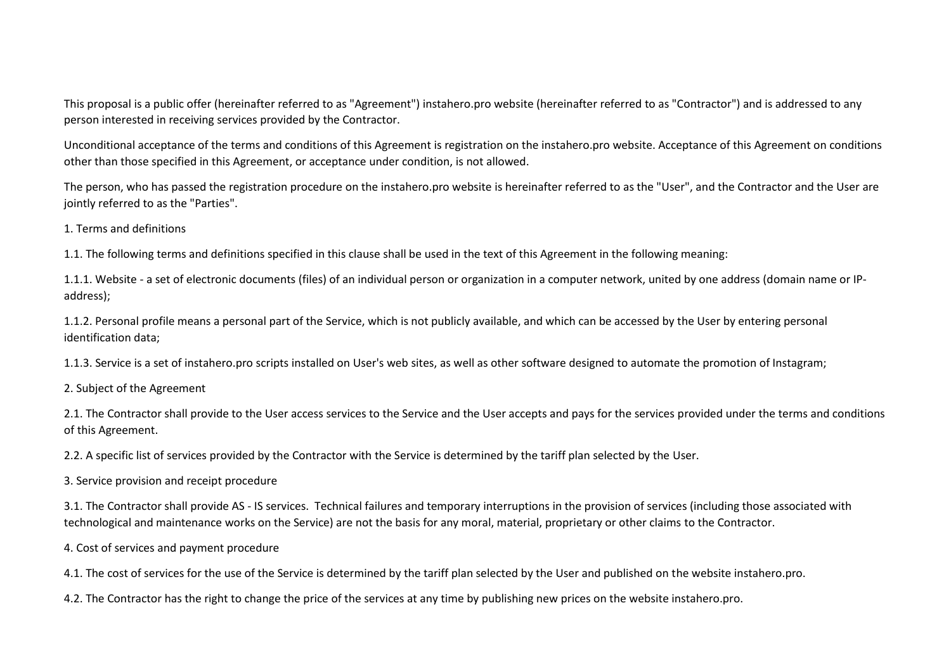This proposal is a public offer (hereinafter referred to as "Agreement") instahero.pro website (hereinafter referred to as "Contractor") and is addressed to any person interested in receiving services provided by the Contractor.

Unconditional acceptance of the terms and conditions of this Agreement is registration on the instahero.pro website. Acceptance of this Agreement on conditions other than those specified in this Agreement, or acceptance under condition, is not allowed.

The person, who has passed the registration procedure on the instahero.pro website is hereinafter referred to as the "User", and the Contractor and the User are jointly referred to as the "Parties".

1. Terms and definitions

1.1. The following terms and definitions specified in this clause shall be used in the text of this Agreement in the following meaning:

1.1.1. Website - a set of electronic documents (files) of an individual person or organization in a computer network, united by one address (domain name or IPaddress);

1.1.2. Personal profile means a personal part of the Service, which is not publicly available, and which can be accessed by the User by entering personal identification data;

1.1.3. Service is a set of instahero.pro scripts installed on User's web sites, as well as other software designed to automate the promotion of Instagram;

2. Subject of the Agreement

2.1. The Contractor shall provide to the User access services to the Service and the User accepts and pays for the services provided under the terms and conditions of this Agreement.

2.2. A specific list of services provided by the Contractor with the Service is determined by the tariff plan selected by the User.

3. Service provision and receipt procedure

3.1. The Contractor shall provide AS - IS services. Technical failures and temporary interruptions in the provision of services (including those associated with technological and maintenance works on the Service) are not the basis for any moral, material, proprietary or other claims to the Contractor.

4. Cost of services and payment procedure

4.1. The cost of services for the use of the Service is determined by the tariff plan selected by the User and published on the website instahero.pro.

4.2. The Contractor has the right to change the price of the services at any time by publishing new prices on the website instahero.pro.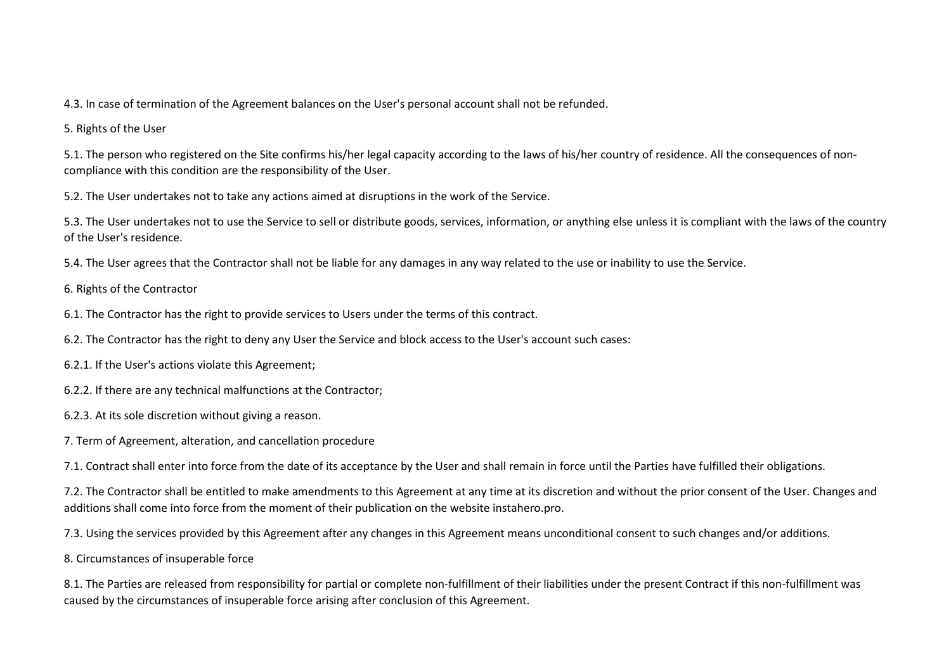4.3. In case of termination of the Agreement balances on the User's personal account shall not be refunded.

5. Rights of the User

5.1. The person who registered on the Site confirms his/her legal capacity according to the laws of his/her country of residence. All the consequences of noncompliance with this condition are the responsibility of the User.

5.2. The User undertakes not to take any actions aimed at disruptions in the work of the Service.

5.3. The User undertakes not to use the Service to sell or distribute goods, services, information, or anything else unless it is compliant with the laws of the country of the User's residence.

5.4. The User agrees that the Contractor shall not be liable for any damages in any way related to the use or inability to use the Service.

6. Rights of the Contractor

6.1. The Contractor has the right to provide services to Users under the terms of this contract.

6.2. The Contractor has the right to deny any User the Service and block access to the User's account such cases:

6.2.1. If the User's actions violate this Agreement;

6.2.2. If there are any technical malfunctions at the Contractor;

6.2.3. At its sole discretion without giving a reason.

7. Term of Agreement, alteration, and cancellation procedure

7.1. Contract shall enter into force from the date of its acceptance by the User and shall remain in force until the Parties have fulfilled their obligations.

7.2. The Contractor shall be entitled to make amendments to this Agreement at any time at its discretion and without the prior consent of the User. Changes and additions shall come into force from the moment of their publication on the website instahero.pro.

7.3. Using the services provided by this Agreement after any changes in this Agreement means unconditional consent to such changes and/or additions.

8. Circumstances of insuperable force

8.1. The Parties are released from responsibility for partial or complete non-fulfillment of their liabilities under the present Contract if this non-fulfillment was caused by the circumstances of insuperable force arising after conclusion of this Agreement.